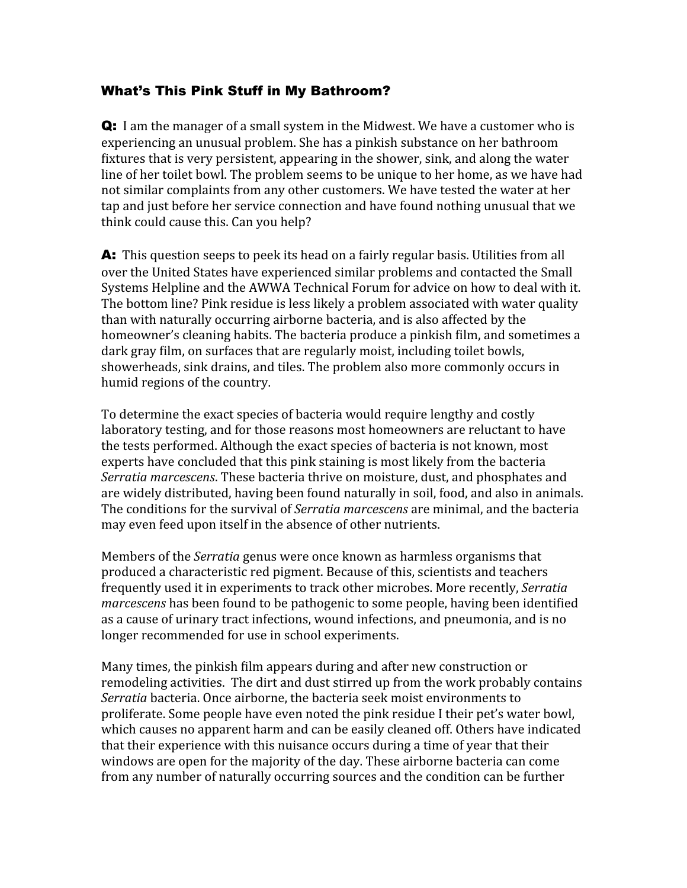## What's This Pink Stuff in My Bathroom?

**Q:** I am the manager of a small system in the Midwest. We have a customer who is experiencing an unusual problem. She has a pinkish substance on her bathroom fixtures that is very persistent, appearing in the shower, sink, and along the water line of her toilet bowl. The problem seems to be unique to her home, as we have had not similar complaints from any other customers. We have tested the water at her tap and just before her service connection and have found nothing unusual that we think could cause this. Can you help?

A: This question seeps to peek its head on a fairly regular basis. Utilities from all over the United States have experienced similar problems and contacted the Small Systems Helpline and the AWWA Technical Forum for advice on how to deal with it. The bottom line? Pink residue is less likely a problem associated with water quality than with naturally occurring airborne bacteria, and is also affected by the homeowner's cleaning habits. The bacteria produce a pinkish film, and sometimes a dark gray film, on surfaces that are regularly moist, including toilet bowls, showerheads, sink drains, and tiles. The problem also more commonly occurs in humid regions of the country.

To determine the exact species of bacteria would require lengthy and costly laboratory testing, and for those reasons most homeowners are reluctant to have the tests performed. Although the exact species of bacteria is not known, most experts have concluded that this pink staining is most likely from the bacteria *Serratia marcescens*. These bacteria thrive on moisture, dust, and phosphates and are widely distributed, having been found naturally in soil, food, and also in animals. The conditions for the survival of *Serratia marcescens* are minimal, and the bacteria may even feed upon itself in the absence of other nutrients.

Members of the *Serratia* genus were once known as harmless organisms that produced a characteristic red pigment. Because of this, scientists and teachers frequently used it in experiments to track other microbes. More recently, *Serratia marcescens* has been found to be pathogenic to some people, having been identified as a cause of urinary tract infections, wound infections, and pneumonia, and is no longer recommended for use in school experiments.

Many times, the pinkish film appears during and after new construction or remodeling activities. The dirt and dust stirred up from the work probably contains *Serratia* bacteria. Once airborne, the bacteria seek moist environments to proliferate. Some people have even noted the pink residue I their pet's water bowl, which causes no apparent harm and can be easily cleaned off. Others have indicated that their experience with this nuisance occurs during a time of year that their windows are open for the majority of the day. These airborne bacteria can come from any number of naturally occurring sources and the condition can be further